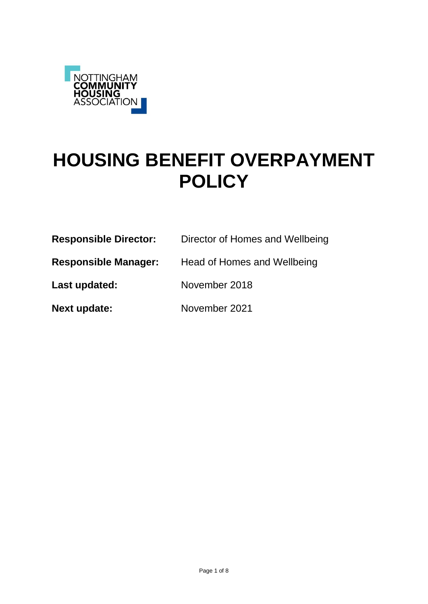

# **HOUSING BENEFIT OVERPAYMENT POLICY**

| <b>Responsible Director:</b> | Director of Homes and Wellbeing |
|------------------------------|---------------------------------|
| <b>Responsible Manager:</b>  | Head of Homes and Wellbeing     |
| Last updated:                | November 2018                   |

**Next update:** November 2021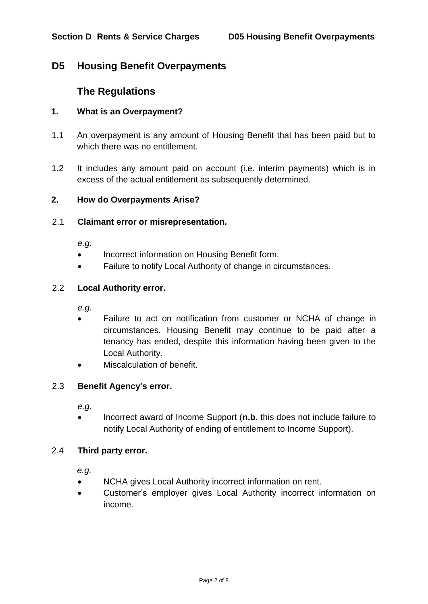# **D5 Housing Benefit Overpayments**

# **The Regulations**

# **1. What is an Overpayment?**

- 1.1 An overpayment is any amount of Housing Benefit that has been paid but to which there was no entitlement.
- 1.2 It includes any amount paid on account (i.e. interim payments) which is in excess of the actual entitlement as subsequently determined.

#### **2. How do Overpayments Arise?**

#### 2.1 **Claimant error or misrepresentation.**

*e.g.*

- Incorrect information on Housing Benefit form.
- Failure to notify Local Authority of change in circumstances.

# 2.2 **Local Authority error.**

*e.g.*

- Failure to act on notification from customer or NCHA of change in circumstances. Housing Benefit may continue to be paid after a tenancy has ended, despite this information having been given to the Local Authority.
- Miscalculation of benefit.

#### 2.3 **Benefit Agency's error.**

*e.g.*

• Incorrect award of Income Support (n.b. this does not include failure to notify Local Authority of ending of entitlement to Income Support).

#### 2.4 **Third party error.**

*e.g.*

- NCHA gives Local Authority incorrect information on rent.
- Customer's employer gives Local Authority incorrect information on income.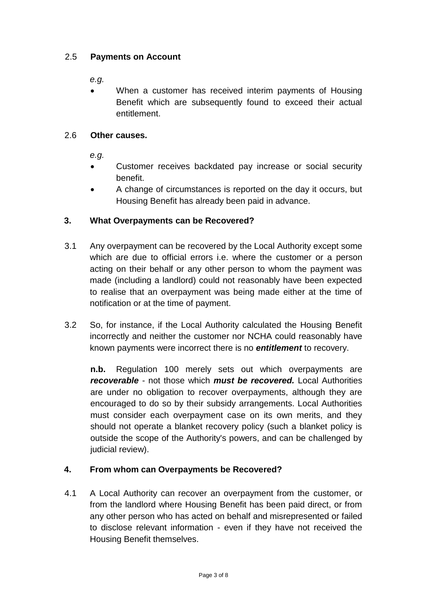# 2.5 **Payments on Account**

*e.g.*

 When a customer has received interim payments of Housing Benefit which are subsequently found to exceed their actual entitlement.

# 2.6 **Other causes.**

*e.g.*

- Customer receives backdated pay increase or social security benefit.
- A change of circumstances is reported on the day it occurs, but Housing Benefit has already been paid in advance.

# **3. What Overpayments can be Recovered?**

- 3.1 Any overpayment can be recovered by the Local Authority except some which are due to official errors i.e. where the customer or a person acting on their behalf or any other person to whom the payment was made (including a landlord) could not reasonably have been expected to realise that an overpayment was being made either at the time of notification or at the time of payment.
- 3.2 So, for instance, if the Local Authority calculated the Housing Benefit incorrectly and neither the customer nor NCHA could reasonably have known payments were incorrect there is no *entitlement* to recovery.

**n.b.** Regulation 100 merely sets out which overpayments are *recoverable* - not those which *must be recovered.* Local Authorities are under no obligation to recover overpayments, although they are encouraged to do so by their subsidy arrangements. Local Authorities must consider each overpayment case on its own merits, and they should not operate a blanket recovery policy (such a blanket policy is outside the scope of the Authority's powers, and can be challenged by judicial review).

# **4. From whom can Overpayments be Recovered?**

4.1 A Local Authority can recover an overpayment from the customer, or from the landlord where Housing Benefit has been paid direct, or from any other person who has acted on behalf and misrepresented or failed to disclose relevant information - even if they have not received the Housing Benefit themselves.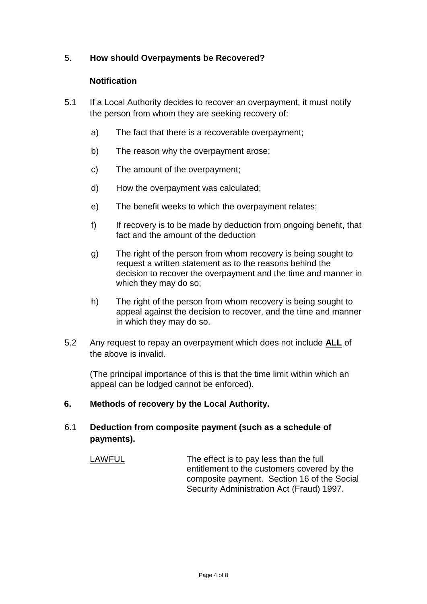# 5. **How should Overpayments be Recovered?**

# **Notification**

- 5.1 If a Local Authority decides to recover an overpayment, it must notify the person from whom they are seeking recovery of:
	- a) The fact that there is a recoverable overpayment;
	- b) The reason why the overpayment arose;
	- c) The amount of the overpayment;
	- d) How the overpayment was calculated;
	- e) The benefit weeks to which the overpayment relates;
	- f) If recovery is to be made by deduction from ongoing benefit, that fact and the amount of the deduction
	- g) The right of the person from whom recovery is being sought to request a written statement as to the reasons behind the decision to recover the overpayment and the time and manner in which they may do so;
	- h) The right of the person from whom recovery is being sought to appeal against the decision to recover, and the time and manner in which they may do so.
- 5.2 Any request to repay an overpayment which does not include **ALL** of the above is invalid.

(The principal importance of this is that the time limit within which an appeal can be lodged cannot be enforced).

**6. Methods of recovery by the Local Authority.**

# 6.1 **Deduction from composite payment (such as a schedule of payments).**

LAWFUL The effect is to pay less than the full entitlement to the customers covered by the composite payment. Section 16 of the Social Security Administration Act (Fraud) 1997.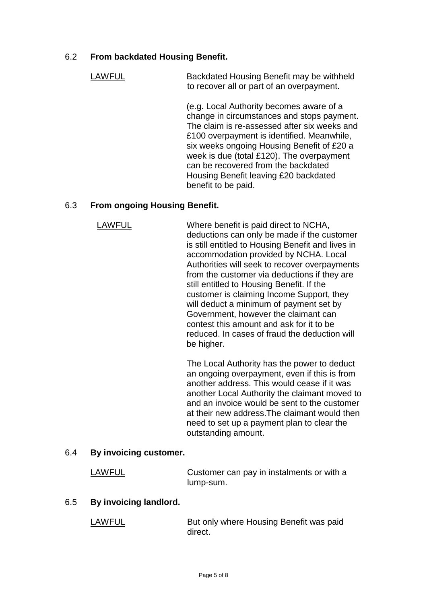# 6.2 **From backdated Housing Benefit.**

LAWFUL Backdated Housing Benefit may be withheld to recover all or part of an overpayment.

> (e.g. Local Authority becomes aware of a change in circumstances and stops payment. The claim is re-assessed after six weeks and £100 overpayment is identified. Meanwhile, six weeks ongoing Housing Benefit of £20 a week is due (total £120). The overpayment can be recovered from the backdated Housing Benefit leaving £20 backdated benefit to be paid.

# 6.3 **From ongoing Housing Benefit.**

LAWFUL Where benefit is paid direct to NCHA, deductions can only be made if the customer is still entitled to Housing Benefit and lives in accommodation provided by NCHA. Local Authorities will seek to recover overpayments from the customer via deductions if they are still entitled to Housing Benefit. If the customer is claiming Income Support, they will deduct a minimum of payment set by Government, however the claimant can contest this amount and ask for it to be reduced. In cases of fraud the deduction will be higher.

> The Local Authority has the power to deduct an ongoing overpayment, even if this is from another address. This would cease if it was another Local Authority the claimant moved to and an invoice would be sent to the customer at their new address.The claimant would then need to set up a payment plan to clear the outstanding amount.

# 6.4 **By invoicing customer.**

| <b>LAWFUL</b> | Customer can pay in instalments or with a |
|---------------|-------------------------------------------|
|               | lump-sum.                                 |

#### 6.5 **By invoicing landlord.**

| <b>LAWFUL</b> | But only where Housing Benefit was paid |
|---------------|-----------------------------------------|
|               | direct.                                 |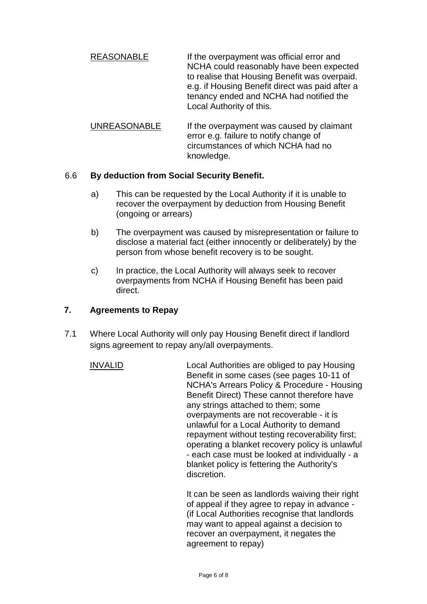- REASONABLE **If the overpayment was official error and** NCHA could reasonably have been expected to realise that Housing Benefit was overpaid. e.g. if Housing Benefit direct was paid after a tenancy ended and NCHA had notified the Local Authority of this.
- UNREASONABLE If the overpayment was caused by claimant error e.g. failure to notify change of circumstances of which NCHA had no knowledge.

# 6.6 **By deduction from Social Security Benefit.**

- a) This can be requested by the Local Authority if it is unable to recover the overpayment by deduction from Housing Benefit (ongoing or arrears)
- b) The overpayment was caused by misrepresentation or failure to disclose a material fact (either innocently or deliberately) by the person from whose benefit recovery is to be sought.
- c) In practice, the Local Authority will always seek to recover overpayments from NCHA if Housing Benefit has been paid direct.

# **7. Agreements to Repay**

- 7.1 Where Local Authority will only pay Housing Benefit direct if landlord signs agreement to repay any/all overpayments.
	- INVALID Local Authorities are obliged to pay Housing Benefit in some cases (see pages 10-11 of NCHA's Arrears Policy & Procedure - Housing Benefit Direct) These cannot therefore have any strings attached to them; some overpayments are not recoverable - it is unlawful for a Local Authority to demand repayment without testing recoverability first; operating a blanket recovery policy is unlawful - each case must be looked at individually - a blanket policy is fettering the Authority's discretion.

It can be seen as landlords waiving their right of appeal if they agree to repay in advance - (if Local Authorities recognise that landlords may want to appeal against a decision to recover an overpayment, it negates the agreement to repay)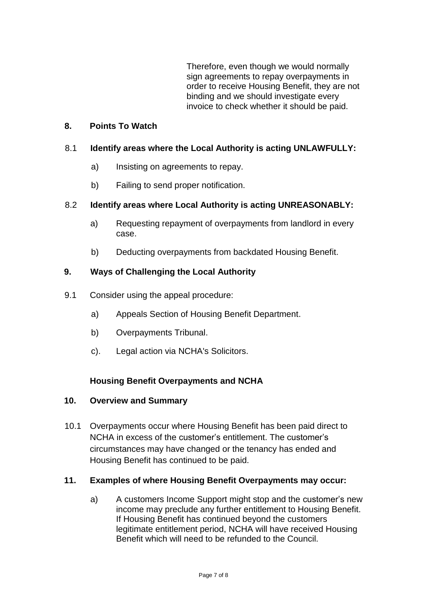Therefore, even though we would normally sign agreements to repay overpayments in order to receive Housing Benefit, they are not binding and we should investigate every invoice to check whether it should be paid.

# **8. Points To Watch**

#### 8.1 **Identify areas where the Local Authority is acting UNLAWFULLY:**

- a) Insisting on agreements to repay.
- b) Failing to send proper notification.

#### 8.2 **Identify areas where Local Authority is acting UNREASONABLY:**

- a) Requesting repayment of overpayments from landlord in every case.
- b) Deducting overpayments from backdated Housing Benefit.

#### **9. Ways of Challenging the Local Authority**

- 9.1 Consider using the appeal procedure:
	- a) Appeals Section of Housing Benefit Department.
	- b) Overpayments Tribunal.
	- c). Legal action via NCHA's Solicitors.

# **Housing Benefit Overpayments and NCHA**

#### **10. Overview and Summary**

10.1 Overpayments occur where Housing Benefit has been paid direct to NCHA in excess of the customer's entitlement. The customer's circumstances may have changed or the tenancy has ended and Housing Benefit has continued to be paid.

#### **11. Examples of where Housing Benefit Overpayments may occur:**

a) A customers Income Support might stop and the customer's new income may preclude any further entitlement to Housing Benefit. If Housing Benefit has continued beyond the customers legitimate entitlement period, NCHA will have received Housing Benefit which will need to be refunded to the Council.